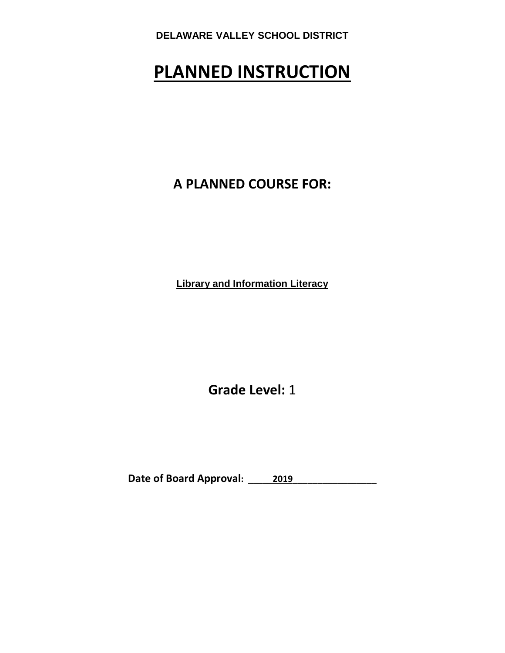# **PLANNED INSTRUCTION**

**A PLANNED COURSE FOR:**

**Library and Information Literacy**

**Grade Level:** 1

**Date of Board Approval: \_\_\_\_\_2019\_\_\_\_\_\_\_\_\_\_\_\_\_\_\_\_\_**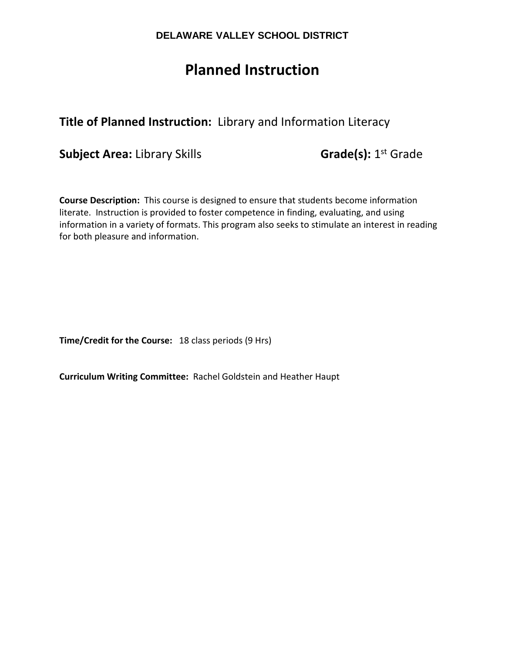# **Planned Instruction**

# **Title of Planned Instruction:** Library and Information Literacy

**Subject Area:** Library Skills **Grade(s):** 1st Grade

**Course Description:** This course is designed to ensure that students become information literate. Instruction is provided to foster competence in finding, evaluating, and using information in a variety of formats. This program also seeks to stimulate an interest in reading for both pleasure and information.

**Time/Credit for the Course:** 18 class periods (9 Hrs)

**Curriculum Writing Committee:** Rachel Goldstein and Heather Haupt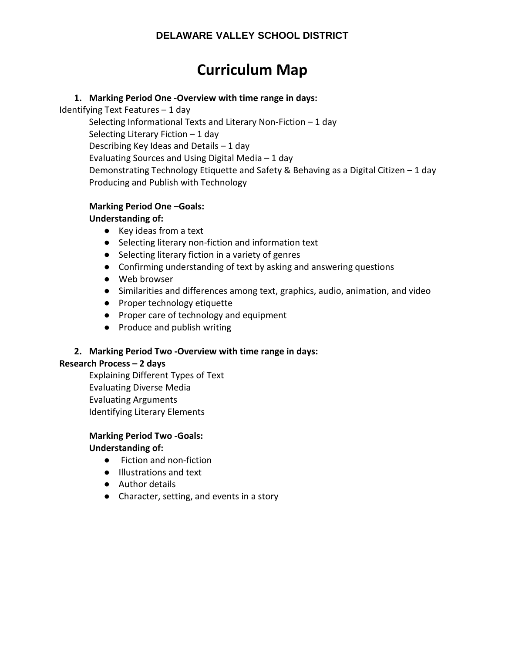# **Curriculum Map**

# **1. Marking Period One -Overview with time range in days:**

Identifying Text Features – 1 day

Selecting Informational Texts and Literary Non-Fiction – 1 day Selecting Literary Fiction – 1 day Describing Key Ideas and Details – 1 day Evaluating Sources and Using Digital Media – 1 day Demonstrating Technology Etiquette and Safety & Behaving as a Digital Citizen – 1 day Producing and Publish with Technology

# **Marking Period One –Goals:**

# **Understanding of:**

- Key ideas from a text
- Selecting literary non-fiction and information text
- Selecting literary fiction in a variety of genres
- Confirming understanding of text by asking and answering questions
- Web browser
- Similarities and differences among text, graphics, audio, animation, and video
- Proper technology etiquette
- Proper care of technology and equipment
- Produce and publish writing

# **2. Marking Period Two -Overview with time range in days:**

# **Research Process – 2 days**

Explaining Different Types of Text Evaluating Diverse Media Evaluating Arguments Identifying Literary Elements

# **Marking Period Two -Goals:**

# **Understanding of:**

- Fiction and non-fiction
- Illustrations and text
- Author details
- Character, setting, and events in a story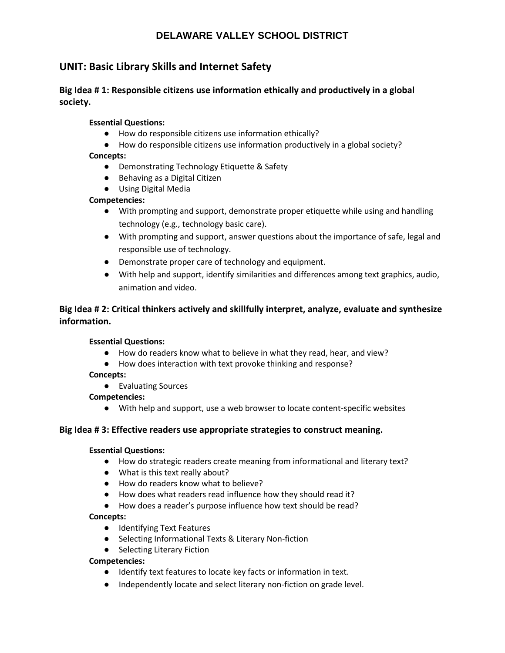# **UNIT: Basic Library Skills and Internet Safety**

# **Big Idea # 1: Responsible citizens use information ethically and productively in a global society.**

#### **Essential Questions:**

- How do responsible citizens use information ethically?
- How do responsible citizens use information productively in a global society?

#### **Concepts:**

- Demonstrating Technology Etiquette & Safety
- Behaving as a Digital Citizen
- Using Digital Media

#### **Competencies:**

- With prompting and support, demonstrate proper etiquette while using and handling technology (e.g., technology basic care).
- With prompting and support, answer questions about the importance of safe, legal and responsible use of technology.
- Demonstrate proper care of technology and equipment.
- With help and support, identify similarities and differences among text graphics, audio, animation and video.

# **Big Idea # 2: Critical thinkers actively and skillfully interpret, analyze, evaluate and synthesize information.**

#### **Essential Questions:**

- How do readers know what to believe in what they read, hear, and view?
- How does interaction with text provoke thinking and response?

#### **Concepts:**

● Evaluating Sources

#### **Competencies:**

● With help and support, use a web browser to locate content-specific websites

## **Big Idea # 3: Effective readers use appropriate strategies to construct meaning.**

#### **Essential Questions:**

- How do strategic readers create meaning from informational and literary text?
- What is this text really about?
- How do readers know what to believe?
- How does what readers read influence how they should read it?
- How does a reader's purpose influence how text should be read?

#### **Concepts:**

- Identifying Text Features
- Selecting Informational Texts & Literary Non-fiction
- Selecting Literary Fiction

#### **Competencies:**

- Identify text features to locate key facts or information in text.
- Independently locate and select literary non-fiction on grade level.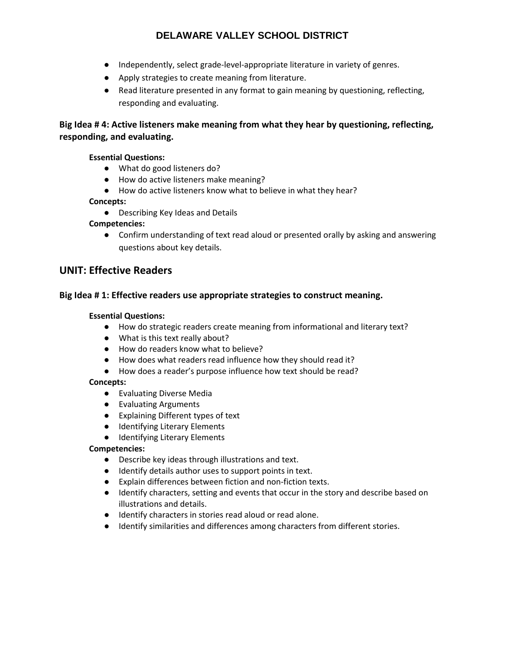- Independently, select grade-level-appropriate literature in variety of genres.
- Apply strategies to create meaning from literature.
- Read literature presented in any format to gain meaning by questioning, reflecting, responding and evaluating.

# **Big Idea # 4: Active listeners make meaning from what they hear by questioning, reflecting, responding, and evaluating.**

### **Essential Questions:**

- What do good listeners do?
- How do active listeners make meaning?
- How do active listeners know what to believe in what they hear?

#### **Concepts:**

● Describing Key Ideas and Details

#### **Competencies:**

● Confirm understanding of text read aloud or presented orally by asking and answering questions about key details.

# **UNIT: Effective Readers**

#### **Big Idea # 1: Effective readers use appropriate strategies to construct meaning.**

#### **Essential Questions:**

- How do strategic readers create meaning from informational and literary text?
- What is this text really about?
- How do readers know what to believe?
- How does what readers read influence how they should read it?
- How does a reader's purpose influence how text should be read?

#### **Concepts:**

- Evaluating Diverse Media
- Evaluating Arguments
- Explaining Different types of text
- Identifying Literary Elements
- Identifying Literary Elements

#### **Competencies:**

- Describe key ideas through illustrations and text.
- Identify details author uses to support points in text.
- Explain differences between fiction and non-fiction texts.
- Identify characters, setting and events that occur in the story and describe based on illustrations and details.
- Identify characters in stories read aloud or read alone.
- Identify similarities and differences among characters from different stories.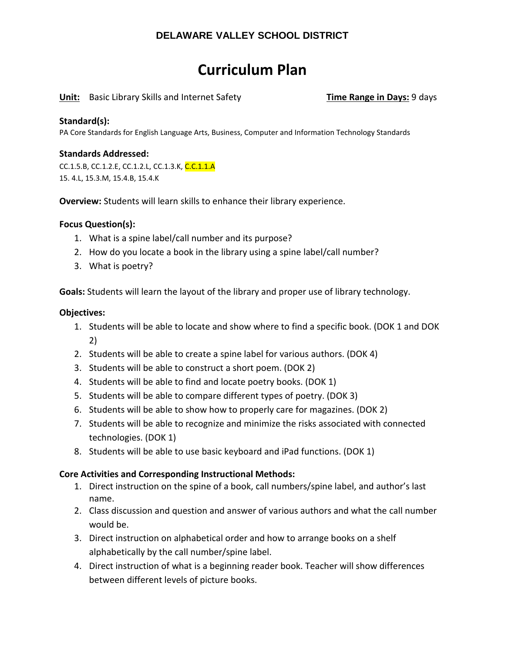# **Curriculum Plan**

## **Unit:** Basic Library Skills and Internet Safety **Time Range in Days:** 9 days

### **Standard(s):**

PA Core Standards for English Language Arts, Business, Computer and Information Technology Standards

### **Standards Addressed:**

CC.1.5.B, CC.1.2.E, CC.1.2.L, CC.1.3.K, C.C.1.1.A 15. 4.L, 15.3.M, 15.4.B, 15.4.K

**Overview:** Students will learn skills to enhance their library experience.

#### **Focus Question(s):**

- 1. What is a spine label/call number and its purpose?
- 2. How do you locate a book in the library using a spine label/call number?
- 3. What is poetry?

**Goals:** Students will learn the layout of the library and proper use of library technology.

#### **Objectives:**

- 1. Students will be able to locate and show where to find a specific book. (DOK 1 and DOK 2)
- 2. Students will be able to create a spine label for various authors. (DOK 4)
- 3. Students will be able to construct a short poem. (DOK 2)
- 4. Students will be able to find and locate poetry books. (DOK 1)
- 5. Students will be able to compare different types of poetry. (DOK 3)
- 6. Students will be able to show how to properly care for magazines. (DOK 2)
- 7. Students will be able to recognize and minimize the risks associated with connected technologies. (DOK 1)
- 8. Students will be able to use basic keyboard and iPad functions. (DOK 1)

## **Core Activities and Corresponding Instructional Methods:**

- 1. Direct instruction on the spine of a book, call numbers/spine label, and author's last name.
- 2. Class discussion and question and answer of various authors and what the call number would be.
- 3. Direct instruction on alphabetical order and how to arrange books on a shelf alphabetically by the call number/spine label.
- 4. Direct instruction of what is a beginning reader book. Teacher will show differences between different levels of picture books.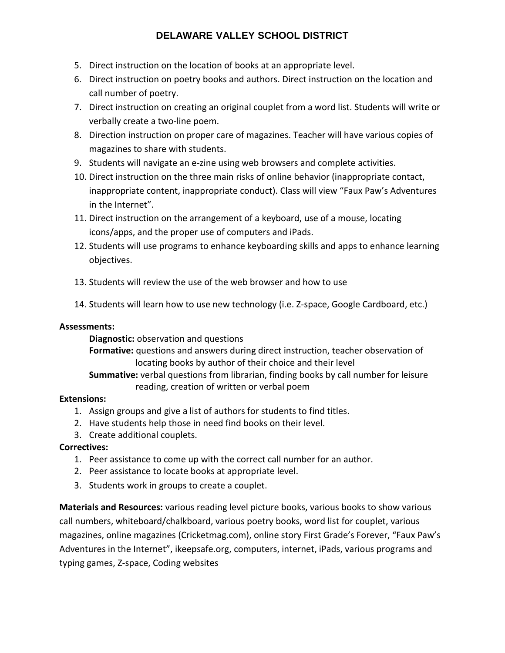- 5. Direct instruction on the location of books at an appropriate level.
- 6. Direct instruction on poetry books and authors. Direct instruction on the location and call number of poetry.
- 7. Direct instruction on creating an original couplet from a word list. Students will write or verbally create a two-line poem.
- 8. Direction instruction on proper care of magazines. Teacher will have various copies of magazines to share with students.
- 9. Students will navigate an e-zine using web browsers and complete activities.
- 10. Direct instruction on the three main risks of online behavior (inappropriate contact, inappropriate content, inappropriate conduct). Class will view "Faux Paw's Adventures in the Internet".
- 11. Direct instruction on the arrangement of a keyboard, use of a mouse, locating icons/apps, and the proper use of computers and iPads.
- 12. Students will use programs to enhance keyboarding skills and apps to enhance learning objectives.
- 13. Students will review the use of the web browser and how to use
- 14. Students will learn how to use new technology (i.e. Z-space, Google Cardboard, etc.)

# **Assessments:**

**Diagnostic:** observation and questions

**Formative:** questions and answers during direct instruction, teacher observation of locating books by author of their choice and their level

**Summative:** verbal questions from librarian, finding books by call number for leisure reading, creation of written or verbal poem

# **Extensions:**

- 1. Assign groups and give a list of authors for students to find titles.
- 2. Have students help those in need find books on their level.
- 3. Create additional couplets.

# **Correctives:**

- 1. Peer assistance to come up with the correct call number for an author.
- 2. Peer assistance to locate books at appropriate level.
- 3. Students work in groups to create a couplet.

**Materials and Resources:** various reading level picture books, various books to show various call numbers, whiteboard/chalkboard, various poetry books, word list for couplet, various magazines, online magazines (Cricketmag.com), online story First Grade's Forever, "Faux Paw's Adventures in the Internet", ikeepsafe.org, computers, internet, iPads, various programs and typing games, Z-space, Coding websites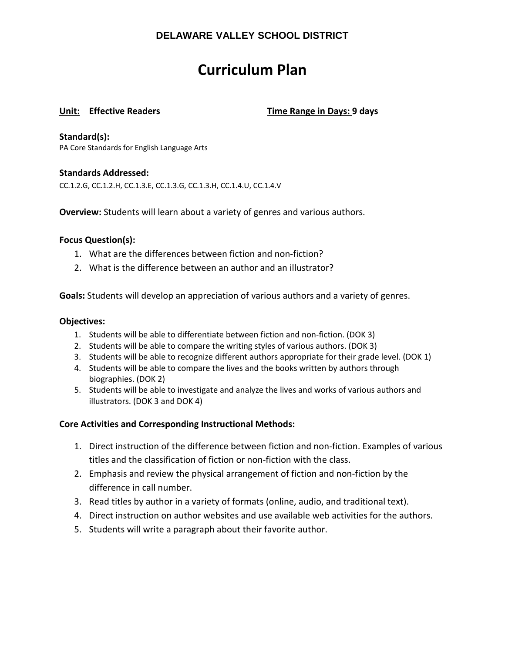# **Curriculum Plan**

**Unit: Effective Readers Time Range in Days: 9 days**

**Standard(s):** 

PA Core Standards for English Language Arts

## **Standards Addressed:**

CC.1.2.G, CC.1.2.H, CC.1.3.E, CC.1.3.G, CC.1.3.H, CC.1.4.U, CC.1.4.V

**Overview:** Students will learn about a variety of genres and various authors.

#### **Focus Question(s):**

- 1. What are the differences between fiction and non-fiction?
- 2. What is the difference between an author and an illustrator?

**Goals:** Students will develop an appreciation of various authors and a variety of genres.

#### **Objectives:**

- 1. Students will be able to differentiate between fiction and non-fiction. (DOK 3)
- 2. Students will be able to compare the writing styles of various authors. (DOK 3)
- 3. Students will be able to recognize different authors appropriate for their grade level. (DOK 1)
- 4. Students will be able to compare the lives and the books written by authors through biographies. (DOK 2)
- 5. Students will be able to investigate and analyze the lives and works of various authors and illustrators. (DOK 3 and DOK 4)

## **Core Activities and Corresponding Instructional Methods:**

- 1. Direct instruction of the difference between fiction and non-fiction. Examples of various titles and the classification of fiction or non-fiction with the class.
- 2. Emphasis and review the physical arrangement of fiction and non-fiction by the difference in call number.
- 3. Read titles by author in a variety of formats (online, audio, and traditional text).
- 4. Direct instruction on author websites and use available web activities for the authors.
- 5. Students will write a paragraph about their favorite author.